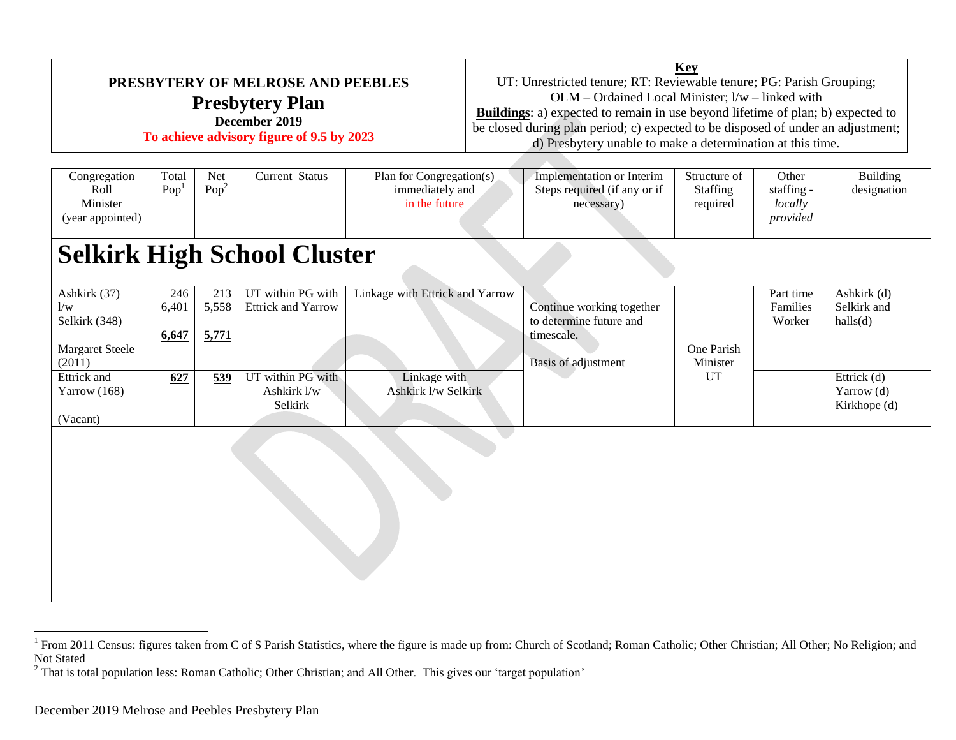| PRESBYTERY OF MELROSE AND PEEBLES<br><b>Presbytery Plan</b><br>December 2019<br>To achieve advisory figure of 9.5 by 2023 |                                    |                         |                                                | <b>Key</b><br>UT: Unrestricted tenure; RT: Reviewable tenure; PG: Parish Grouping;<br>OLM - Ordained Local Minister; l/w - linked with<br><b>Buildings:</b> a) expected to remain in use beyond lifetime of plan; b) expected to<br>be closed during plan period; c) expected to be disposed of under an adjustment;<br>d) Presbytery unable to make a determination at this time. |  |                                                                                           |                                      |                                            |                                             |  |  |
|---------------------------------------------------------------------------------------------------------------------------|------------------------------------|-------------------------|------------------------------------------------|------------------------------------------------------------------------------------------------------------------------------------------------------------------------------------------------------------------------------------------------------------------------------------------------------------------------------------------------------------------------------------|--|-------------------------------------------------------------------------------------------|--------------------------------------|--------------------------------------------|---------------------------------------------|--|--|
| Congregation<br>Roll<br>Minister<br>(year appointed)                                                                      | Total<br>Pop <sup>1</sup>          | Net<br>Pop <sup>2</sup> | <b>Current Status</b>                          | Plan for Congregation(s)<br>immediately and<br>in the future                                                                                                                                                                                                                                                                                                                       |  | Implementation or Interim<br>Steps required (if any or if<br>necessary)                   | Structure of<br>Staffing<br>required | Other<br>staffing -<br>locally<br>provided | Building<br>designation                     |  |  |
|                                                                                                                           | <b>Selkirk High School Cluster</b> |                         |                                                |                                                                                                                                                                                                                                                                                                                                                                                    |  |                                                                                           |                                      |                                            |                                             |  |  |
| Ashkirk (37)<br>1/w<br>Selkirk (348)<br>Margaret Steele<br>(2011)                                                         | 246<br>6,401<br>6,647              | 213<br>5,558<br>5,771   | UT within PG with<br><b>Ettrick and Yarrow</b> | Linkage with Ettrick and Yarrow                                                                                                                                                                                                                                                                                                                                                    |  | Continue working together<br>to determine future and<br>timescale.<br>Basis of adjustment | One Parish<br>Minister               | Part time<br>Families<br>Worker            | Ashkirk (d)<br>Selkirk and<br>halls(d)      |  |  |
| Ettrick and<br>Yarrow $(168)$                                                                                             | 627                                | 539                     | UT within PG with<br>Ashkirk l/w<br>Selkirk    | Linkage with<br>Ashkirk I/w Selkirk                                                                                                                                                                                                                                                                                                                                                |  |                                                                                           | <b>UT</b>                            |                                            | Ettrick $(d)$<br>Yarrow (d)<br>Kirkhope (d) |  |  |
| (Vacant)                                                                                                                  |                                    |                         |                                                |                                                                                                                                                                                                                                                                                                                                                                                    |  |                                                                                           |                                      |                                            |                                             |  |  |

<sup>&</sup>lt;sup>1</sup> From 2011 Census: figures taken from C of S Parish Statistics, where the figure is made up from: Church of Scotland; Roman Catholic; Other Christian; All Other; No Religion; and  $\frac{1}{2}$ Not Stated

 $2$  That is total population less: Roman Catholic; Other Christian; and All Other. This gives our 'target population'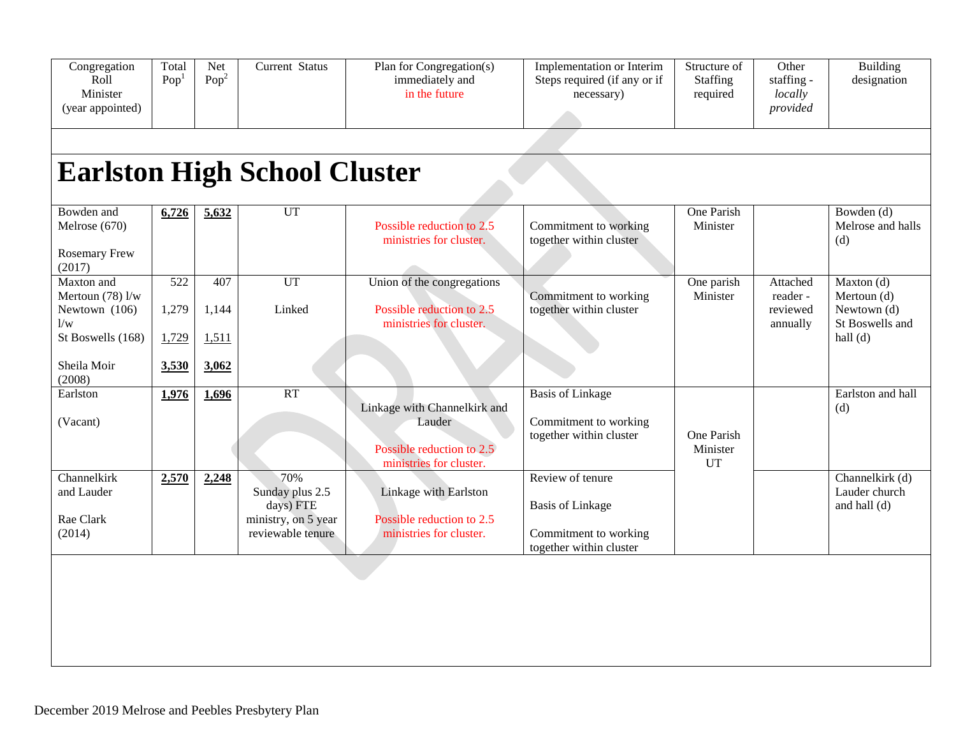| Congregation<br>Roll<br>Minister<br>(year appointed)     | Total<br>Pop <sup>1</sup> | Net<br>Pop <sup>2</sup> | Current Status                                                                  | Plan for Congregation(s)<br>immediately and<br>in the future                                   | Implementation or Interim<br>Steps required (if any or if<br>necessary)                         | Structure of<br>Staffing<br>required | Other<br>staffing -<br>locally<br>provided   | <b>Building</b><br>designation                                |
|----------------------------------------------------------|---------------------------|-------------------------|---------------------------------------------------------------------------------|------------------------------------------------------------------------------------------------|-------------------------------------------------------------------------------------------------|--------------------------------------|----------------------------------------------|---------------------------------------------------------------|
|                                                          |                           |                         |                                                                                 |                                                                                                |                                                                                                 |                                      |                                              |                                                               |
|                                                          |                           |                         | <b>Earlston High School Cluster</b>                                             |                                                                                                |                                                                                                 |                                      |                                              |                                                               |
| Bowden and<br>Melrose (670)<br>Rosemary Frew<br>(2017)   | 6,726                     | 5,632                   | UT                                                                              | Possible reduction to 2.5<br>ministries for cluster.                                           | Commitment to working<br>together within cluster                                                | One Parish<br>Minister               |                                              | Bowden (d)<br>Melrose and halls<br>(d)                        |
| Maxton and<br>Mertoun $(78)$ l/w<br>Newtown (106)<br>1/w | 522<br>1,279              | 407<br>1,144            | UT<br>Linked                                                                    | Union of the congregations<br>Possible reduction to 2.5<br>ministries for cluster.             | Commitment to working<br>together within cluster                                                | One parish<br>Minister               | Attached<br>reader -<br>reviewed<br>annually | Maxton $(d)$<br>Mertoun (d)<br>Newtown (d)<br>St Boswells and |
| St Boswells (168)                                        | 1,729                     | 1,511                   |                                                                                 |                                                                                                |                                                                                                 |                                      |                                              | hall $(d)$                                                    |
| Sheila Moir<br>(2008)                                    | 3,530                     | 3,062                   |                                                                                 |                                                                                                |                                                                                                 |                                      |                                              |                                                               |
| Earlston<br>(Vacant)                                     | 1,976                     | 1,696                   | RT                                                                              | Linkage with Channelkirk and<br>Lauder<br>Possible reduction to 2.5<br>ministries for cluster. | <b>Basis of Linkage</b><br>Commitment to working<br>together within cluster                     | One Parish<br>Minister<br><b>UT</b>  |                                              | Earlston and hall<br>(d)                                      |
| Channelkirk<br>and Lauder<br>Rae Clark<br>(2014)         | 2,570                     | 2,248                   | 70%<br>Sunday plus 2.5<br>days) FTE<br>ministry, on 5 year<br>reviewable tenure | Linkage with Earlston<br>Possible reduction to 2.5<br>ministries for cluster.                  | Review of tenure<br><b>Basis of Linkage</b><br>Commitment to working<br>together within cluster |                                      |                                              | Channelkirk (d)<br>Lauder church<br>and hall (d)              |
|                                                          |                           |                         |                                                                                 |                                                                                                |                                                                                                 |                                      |                                              |                                                               |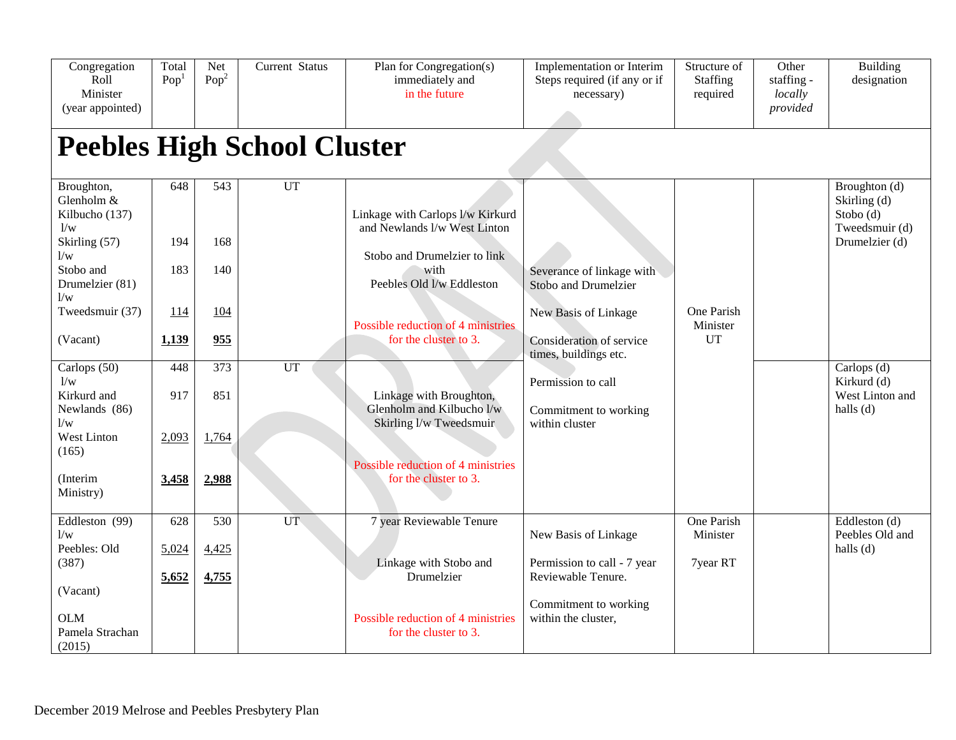| Congregation<br>Roll<br>Minister<br>(year appointed)                                                                              | Total<br>Pop <sup>1</sup>         | Net<br>Pop <sup>2</sup>         | Current Status                           | Plan for Congregation(s)<br>immediately and<br>in the future                                                                                                                                         | Implementation or Interim<br>Steps required (if any or if<br>necessary)                                                        | Structure of<br><b>Staffing</b><br>required | Other<br>staffing -<br>locally<br>provided | <b>Building</b><br>designation                                |
|-----------------------------------------------------------------------------------------------------------------------------------|-----------------------------------|---------------------------------|------------------------------------------|------------------------------------------------------------------------------------------------------------------------------------------------------------------------------------------------------|--------------------------------------------------------------------------------------------------------------------------------|---------------------------------------------|--------------------------------------------|---------------------------------------------------------------|
| Broughton,                                                                                                                        | 648                               | $\overline{543}$                | <b>Peebles High School Cluster</b><br>UT |                                                                                                                                                                                                      |                                                                                                                                |                                             |                                            | Broughton (d)                                                 |
| Glenholm &<br>Kilbucho (137)<br>1/w<br>Skirling (57)<br>1/w<br>Stobo and<br>Drumelzier (81)<br>1/w<br>Tweedsmuir (37)<br>(Vacant) | 194<br>183<br><u>114</u><br>1,139 | 168<br>140<br><u>104</u><br>955 |                                          | Linkage with Carlops l/w Kirkurd<br>and Newlands l/w West Linton<br>Stobo and Drumelzier to link<br>with<br>Peebles Old I/w Eddleston<br>Possible reduction of 4 ministries<br>for the cluster to 3. | Severance of linkage with<br>Stobo and Drumelzier<br>New Basis of Linkage<br>Consideration of service<br>times, buildings etc. | One Parish<br>Minister<br><b>UT</b>         |                                            | Skirling (d)<br>Stobo (d)<br>Tweedsmuir (d)<br>Drumelzier (d) |
| Carlops (50)<br>1/w<br>Kirkurd and<br>Newlands (86)<br>1/w<br>West Linton<br>(165)<br>(Interim<br>Ministry)                       | 448<br>917<br>2,093<br>3,458      | 373<br>851<br>1,764<br>2,988    | UT                                       | Linkage with Broughton,<br>Glenholm and Kilbucho l/w<br>Skirling I/w Tweedsmuir<br>Possible reduction of 4 ministries<br>for the cluster to 3.                                                       | Permission to call<br>Commitment to working<br>within cluster                                                                  |                                             |                                            | Carlops (d)<br>Kirkurd (d)<br>West Linton and<br>halls (d)    |
| Eddleston (99)<br>1/w<br>Peebles: Old<br>(387)<br>(Vacant)<br><b>OLM</b><br>Pamela Strachan<br>(2015)                             | 628<br>5,024<br>5,652             | 530<br>4,425<br>4,755           | <b>UT</b>                                | 7 year Reviewable Tenure<br>Linkage with Stobo and<br>Drumelzier<br>Possible reduction of 4 ministries<br>for the cluster to 3.                                                                      | New Basis of Linkage<br>Permission to call - 7 year<br>Reviewable Tenure.<br>Commitment to working<br>within the cluster,      | One Parish<br>Minister<br>7year RT          |                                            | Eddleston (d)<br>Peebles Old and<br>halls (d)                 |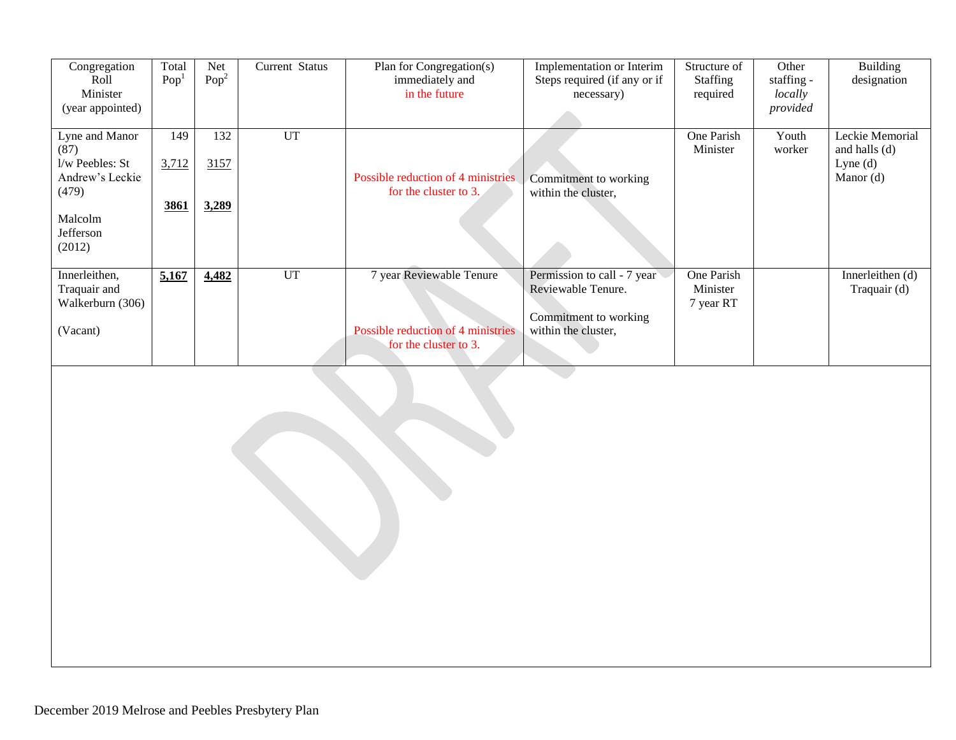| Congregation           | Total            | Net              | Current Status | Plan for Congregation(s)           | Implementation or Interim    | Structure of           | Other           | <b>Building</b>                    |
|------------------------|------------------|------------------|----------------|------------------------------------|------------------------------|------------------------|-----------------|------------------------------------|
| Roll                   | Pop <sup>T</sup> | Pop <sup>2</sup> |                | immediately and                    | Steps required (if any or if | <b>Staffing</b>        | staffing -      | designation                        |
| Minister               |                  |                  |                | in the future                      | necessary)                   | required               | locally         |                                    |
| (year appointed)       |                  |                  |                |                                    |                              |                        | provided        |                                    |
| Lyne and Manor<br>(87) | 149              | 132              | <b>UT</b>      |                                    |                              | One Parish<br>Minister | Youth<br>worker | Leckie Memorial<br>and halls $(d)$ |
| l/w Peebles: St        | 3,712            | 3157             |                |                                    |                              |                        |                 | Lyne $(d)$                         |
| Andrew's Leckie        |                  |                  |                | Possible reduction of 4 ministries | Commitment to working        |                        |                 | Manor (d)                          |
| (479)                  |                  |                  |                | for the cluster to 3.              | within the cluster,          |                        |                 |                                    |
|                        | 3861             | 3,289            |                |                                    |                              |                        |                 |                                    |
| Malcolm                |                  |                  |                |                                    |                              |                        |                 |                                    |
| Jefferson              |                  |                  |                |                                    |                              |                        |                 |                                    |
| (2012)                 |                  |                  |                |                                    |                              |                        |                 |                                    |
| Innerleithen,          | 5,167            | 4,482            | <b>UT</b>      | 7 year Reviewable Tenure           | Permission to call - 7 year  | One Parish             |                 | Innerleithen (d)                   |
| Traquair and           |                  |                  |                |                                    | Reviewable Tenure.           | Minister               |                 | Traquair (d)                       |
| Walkerburn (306)       |                  |                  |                |                                    |                              | 7 year RT              |                 |                                    |
|                        |                  |                  |                |                                    | Commitment to working        |                        |                 |                                    |
| (Vacant)               |                  |                  |                | Possible reduction of 4 ministries | within the cluster,          |                        |                 |                                    |
|                        |                  |                  |                | for the cluster to 3.              |                              |                        |                 |                                    |
|                        |                  |                  |                |                                    |                              |                        |                 |                                    |
|                        |                  |                  |                |                                    |                              |                        |                 |                                    |